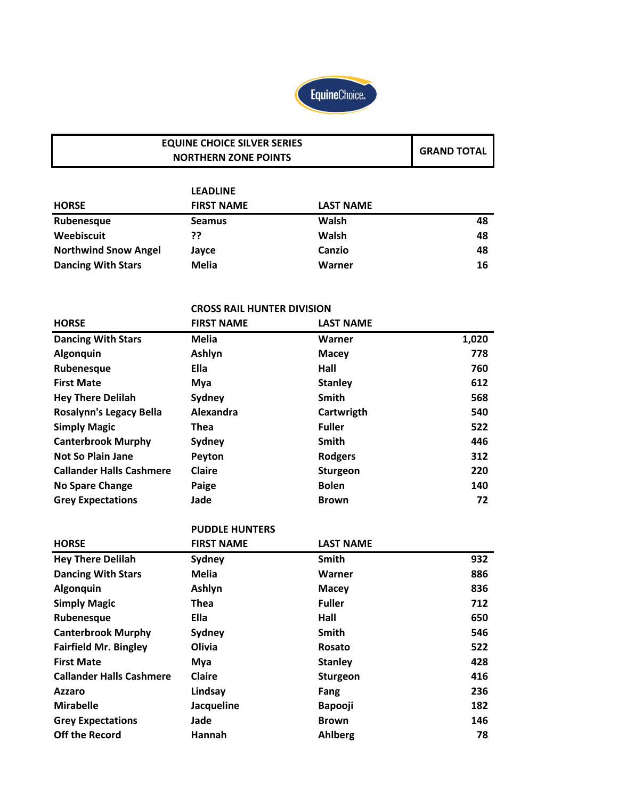

#### **GRAND TOTAL EQUINE CHOICE SILVER SERIES NORTHERN ZONE POINTS**

|                             | <b>LEADLINE</b>   |                  |    |
|-----------------------------|-------------------|------------------|----|
| <b>HORSE</b>                | <b>FIRST NAME</b> | <b>LAST NAME</b> |    |
| Rubenesque                  | <b>Seamus</b>     | Walsh            | 48 |
| Weebiscuit                  | ??                | Walsh            | 48 |
| <b>Northwind Snow Angel</b> | Jayce             | Canzio           | 48 |
| <b>Dancing With Stars</b>   | <b>Melia</b>      | Warner           | 16 |

### **CROSS RAIL HUNTER DIVISION**

| <b>HORSE</b>                    | <b>FIRST NAME</b> | <b>LAST NAME</b> |       |
|---------------------------------|-------------------|------------------|-------|
| <b>Dancing With Stars</b>       | <b>Melia</b>      | Warner           | 1,020 |
| <b>Algonquin</b>                | Ashlyn            | <b>Macey</b>     | 778   |
| Rubenesque                      | Ella              | Hall             | 760   |
| <b>First Mate</b>               | Mya               | <b>Stanley</b>   | 612   |
| <b>Hey There Delilah</b>        | Sydney            | <b>Smith</b>     | 568   |
| <b>Rosalynn's Legacy Bella</b>  | Alexandra         | Cartwrigth       | 540   |
| <b>Simply Magic</b>             | Thea              | <b>Fuller</b>    | 522   |
| <b>Canterbrook Murphy</b>       | Sydney            | <b>Smith</b>     | 446   |
| <b>Not So Plain Jane</b>        | Peyton            | <b>Rodgers</b>   | 312   |
| <b>Callander Halls Cashmere</b> | <b>Claire</b>     | <b>Sturgeon</b>  | 220   |
| <b>No Spare Change</b>          | Paige             | <b>Bolen</b>     | 140   |
| <b>Grey Expectations</b>        | Jade              | <b>Brown</b>     | 72    |

## **PUDDLE HUNTERS**

| <b>HORSE</b>                    | <b>FIRST NAME</b> | <b>LAST NAME</b> |     |
|---------------------------------|-------------------|------------------|-----|
| <b>Hey There Delilah</b>        | Sydney            | <b>Smith</b>     | 932 |
| <b>Dancing With Stars</b>       | <b>Melia</b>      | Warner           | 886 |
| Algonquin                       | Ashlyn            | <b>Macey</b>     | 836 |
| <b>Simply Magic</b>             | <b>Thea</b>       | <b>Fuller</b>    | 712 |
| Rubenesque                      | Ella              | Hall             | 650 |
| <b>Canterbrook Murphy</b>       | Sydney            | <b>Smith</b>     | 546 |
| <b>Fairfield Mr. Bingley</b>    | Olivia            | Rosato           | 522 |
| <b>First Mate</b>               | Mya               | <b>Stanley</b>   | 428 |
| <b>Callander Halls Cashmere</b> | <b>Claire</b>     | <b>Sturgeon</b>  | 416 |
| <b>Azzaro</b>                   | Lindsay           | Fang             | 236 |
| <b>Mirabelle</b>                | Jacqueline        | Bapooji          | 182 |
| <b>Grey Expectations</b>        | Jade              | <b>Brown</b>     | 146 |
| <b>Off the Record</b>           | Hannah            | Ahlberg          | 78  |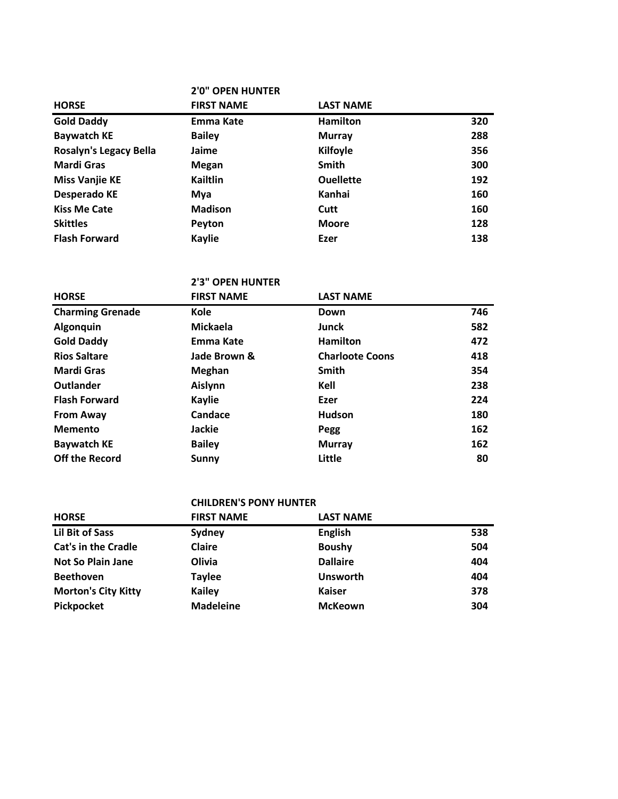|                               | <b>2'0" OPEN HUNTER</b> |                  |     |
|-------------------------------|-------------------------|------------------|-----|
| <b>HORSE</b>                  | <b>FIRST NAME</b>       | <b>LAST NAME</b> |     |
| <b>Gold Daddy</b>             | Emma Kate               | <b>Hamilton</b>  | 320 |
| <b>Baywatch KE</b>            | <b>Bailey</b>           | <b>Murray</b>    | 288 |
| <b>Rosalyn's Legacy Bella</b> | Jaime                   | <b>Kilfoyle</b>  | 356 |
| <b>Mardi Gras</b>             | Megan                   | <b>Smith</b>     | 300 |
| <b>Miss Vanjie KE</b>         | Kailtlin                | <b>Ouellette</b> | 192 |
| <b>Desperado KE</b>           | Mya                     | Kanhai           | 160 |
| <b>Kiss Me Cate</b>           | <b>Madison</b>          | Cutt             | 160 |
| <b>Skittles</b>               | Peyton                  | <b>Moore</b>     | 128 |
| <b>Flash Forward</b>          | <b>Kaylie</b>           | Ezer             | 138 |

## **2'3" OPEN HUNTER**

| <b>HORSE</b>            | <b>FIRST NAME</b> | <b>LAST NAME</b>       |     |
|-------------------------|-------------------|------------------------|-----|
| <b>Charming Grenade</b> | <b>Kole</b>       | Down                   | 746 |
| <b>Algonquin</b>        | <b>Mickaela</b>   | Junck                  | 582 |
| <b>Gold Daddy</b>       | Emma Kate         | <b>Hamilton</b>        | 472 |
| <b>Rios Saltare</b>     | Jade Brown &      | <b>Charloote Coons</b> | 418 |
| Mardi Gras              | <b>Meghan</b>     | <b>Smith</b>           | 354 |
| Outlander               | Aislynn           | Kell                   | 238 |
| <b>Flash Forward</b>    | <b>Kaylie</b>     | Ezer                   | 224 |
| <b>From Away</b>        | Candace           | <b>Hudson</b>          | 180 |
| <b>Memento</b>          | <b>Jackie</b>     | Pegg                   | 162 |
| <b>Baywatch KE</b>      | <b>Bailey</b>     | <b>Murray</b>          | 162 |
| <b>Off the Record</b>   | Sunny             | Little                 | 80  |

#### **CHILDREN'S PONY HUNTER**

| <b>HORSE</b>               | <b>FIRST NAME</b> | <b>LAST NAME</b> |     |
|----------------------------|-------------------|------------------|-----|
| Lil Bit of Sass            | Sydney            | <b>English</b>   | 538 |
| <b>Cat's in the Cradle</b> | <b>Claire</b>     | <b>Boushy</b>    | 504 |
| <b>Not So Plain Jane</b>   | Olivia            | <b>Dallaire</b>  | 404 |
| <b>Beethoven</b>           | <b>Taylee</b>     | <b>Unsworth</b>  | 404 |
| <b>Morton's City Kitty</b> | Kailey            | <b>Kaiser</b>    | 378 |
| Pickpocket                 | <b>Madeleine</b>  | <b>McKeown</b>   | 304 |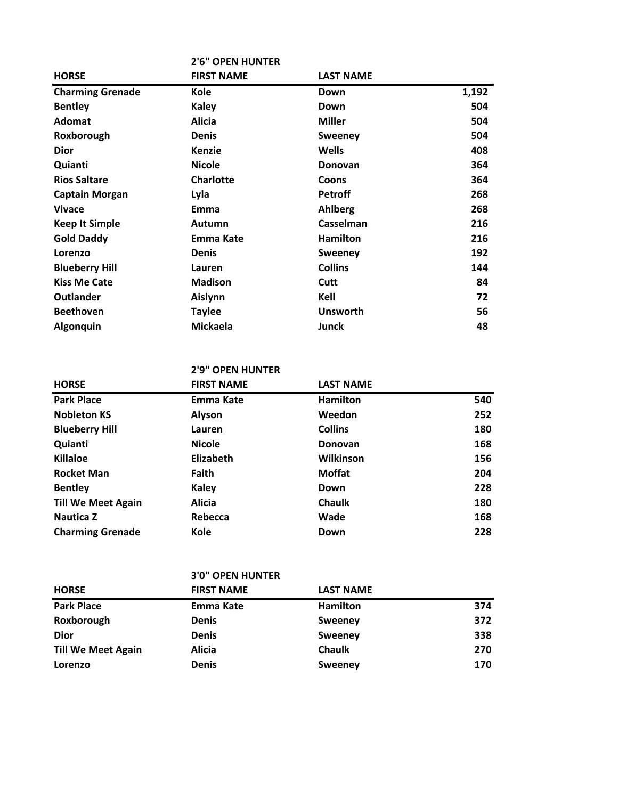|                         | <b>2'6" OPEN HUNTER</b> |                  |       |
|-------------------------|-------------------------|------------------|-------|
| <b>HORSE</b>            | <b>FIRST NAME</b>       | <b>LAST NAME</b> |       |
| <b>Charming Grenade</b> | <b>Kole</b>             | Down             | 1,192 |
| <b>Bentley</b>          | <b>Kaley</b>            | Down             | 504   |
| <b>Adomat</b>           | <b>Alicia</b>           | <b>Miller</b>    | 504   |
| Roxborough              | <b>Denis</b>            | <b>Sweeney</b>   | 504   |
| <b>Dior</b>             | <b>Kenzie</b>           | <b>Wells</b>     | 408   |
| Quianti                 | <b>Nicole</b>           | Donovan          | 364   |
| <b>Rios Saltare</b>     | <b>Charlotte</b>        | Coons            | 364   |
| <b>Captain Morgan</b>   | Lyla                    | <b>Petroff</b>   | 268   |
| <b>Vivace</b>           | Emma                    | <b>Ahlberg</b>   | 268   |
| <b>Keep It Simple</b>   | Autumn                  | Casselman        | 216   |
| <b>Gold Daddy</b>       | Emma Kate               | <b>Hamilton</b>  | 216   |
| Lorenzo                 | Denis                   | <b>Sweeney</b>   | 192   |
| <b>Blueberry Hill</b>   | Lauren                  | <b>Collins</b>   | 144   |
| <b>Kiss Me Cate</b>     | <b>Madison</b>          | Cutt             | 84    |
| <b>Outlander</b>        | Aislynn                 | Kell             | 72    |
| <b>Beethoven</b>        | <b>Taylee</b>           | <b>Unsworth</b>  | 56    |
| Algonquin               | <b>Mickaela</b>         | Junck            | 48    |

## **2'9" OPEN HUNTER**

| <b>HORSE</b>              | <b>FIRST NAME</b> | <b>LAST NAME</b> |     |
|---------------------------|-------------------|------------------|-----|
| <b>Park Place</b>         | Emma Kate         | <b>Hamilton</b>  | 540 |
| <b>Nobleton KS</b>        | Alyson            | Weedon           | 252 |
| <b>Blueberry Hill</b>     | Lauren            | <b>Collins</b>   | 180 |
| Quianti                   | <b>Nicole</b>     | <b>Donovan</b>   | 168 |
| <b>Killaloe</b>           | <b>Elizabeth</b>  | Wilkinson        | 156 |
| <b>Rocket Man</b>         | <b>Faith</b>      | <b>Moffat</b>    | 204 |
| <b>Bentley</b>            | <b>Kaley</b>      | Down             | 228 |
| <b>Till We Meet Again</b> | <b>Alicia</b>     | <b>Chaulk</b>    | 180 |
| <b>Nautica Z</b>          | Rebecca           | Wade             | 168 |
| <b>Charming Grenade</b>   | Kole              | Down             | 228 |

## **3'0" OPEN HUNTER**

| <b>HORSE</b>              | <b>FIRST NAME</b> | <b>LAST NAME</b> |     |
|---------------------------|-------------------|------------------|-----|
| <b>Park Place</b>         | Emma Kate         | <b>Hamilton</b>  | 374 |
| Roxborough                | <b>Denis</b>      | <b>Sweeney</b>   | 372 |
| <b>Dior</b>               | <b>Denis</b>      | Sweeney          | 338 |
| <b>Till We Meet Again</b> | <b>Alicia</b>     | <b>Chaulk</b>    | 270 |
| Lorenzo                   | <b>Denis</b>      | Sweeney          | 170 |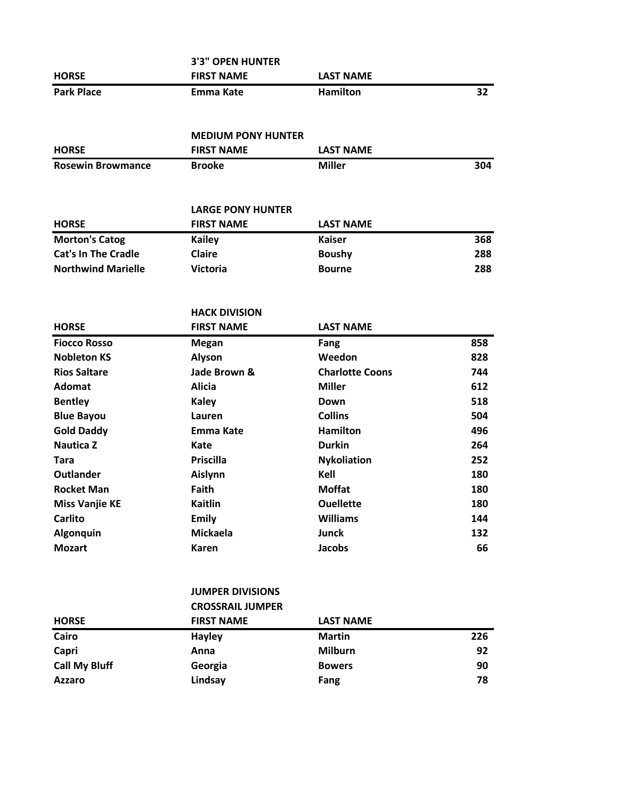|                   | <b>3'3" OPEN HUNTER</b> |                  |    |
|-------------------|-------------------------|------------------|----|
| <b>HORSE</b>      | <b>FIRST NAME</b>       | <b>LAST NAME</b> |    |
| <b>Park Place</b> | Emma Kate               | <b>Hamilton</b>  | 32 |

#### **MEDIUM PONY HUNTER**

| <b>HORSE</b>             | <b>FIRST NAME</b> | <b>LAST NAME</b> |     |
|--------------------------|-------------------|------------------|-----|
| <b>Rosewin Browmance</b> | <b>Brooke</b>     | <b>Miller</b>    | 304 |

#### **LARGE PONY HUNTER**

| <b>HORSE</b>               | <b>FIRST NAME</b> | LAST NAME     |     |
|----------------------------|-------------------|---------------|-----|
| <b>Morton's Catog</b>      | Kailey            | Kaiser        | 368 |
| <b>Cat's In The Cradle</b> | <b>Claire</b>     | <b>Boushy</b> | 288 |
| <b>Northwind Marielle</b>  | Victoria          | <b>Bourne</b> | 288 |

## **HACK DIVISION HORSE FIRST NAME LAST NAME Fiocco Rosso Megan Fang 858 Nobleton KS Alyson Weedon 828 Rios Saltare Jade Brown & Charlotte Coons 744 Adomat Alicia Miller 612 Bentley Kaley Down 518 Blue Bayou Lauren Collins 504 Gold Daddy Emma Kate Hamilton 496 Nautica Z Kate Durkin 264 Tara Priscilla Nykoliation 252 Outlander Aislynn Kell 180 Rocket Man Faith Moffat Moffat 180 Miss Vanjie KE Kaitlin CONFINGERY AND <b>CONFIDENT CONFIDENT 180 Carlito Emily Williams 144 Algonquin Mickaela Junck 132 Mozart Karen Jacobs 66**

## **JUMPER DIVISIONS**

|                      | <b>CROSSRAIL JUMPER</b> |                  |     |
|----------------------|-------------------------|------------------|-----|
| <b>HORSE</b>         | <b>FIRST NAME</b>       | <b>LAST NAME</b> |     |
| Cairo                | <b>Hayley</b>           | <b>Martin</b>    | 226 |
| Capri                | Anna                    | <b>Milburn</b>   | 92  |
| <b>Call My Bluff</b> | Georgia                 | <b>Bowers</b>    | 90  |
| <b>Azzaro</b>        | Lindsay                 | Fang             | 78  |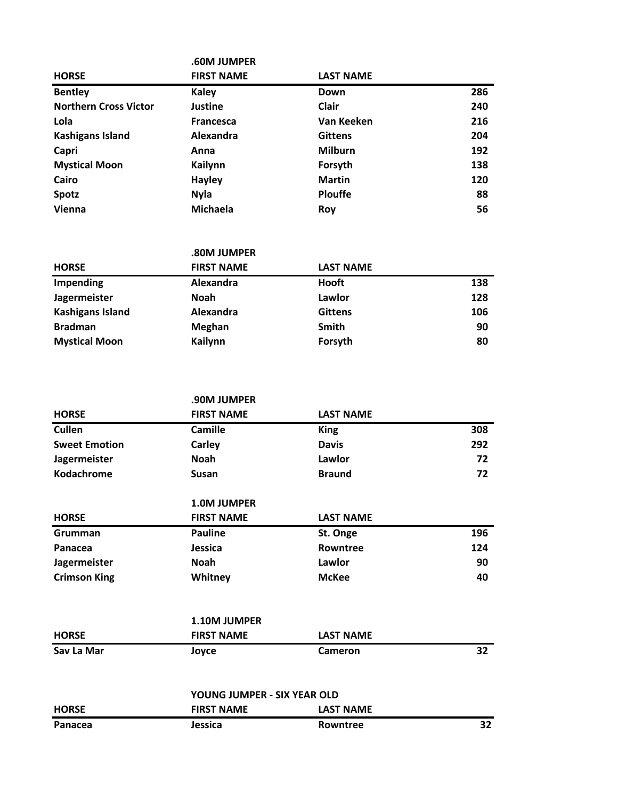|                              | .60M JUMPER       |                  |     |
|------------------------------|-------------------|------------------|-----|
| <b>HORSE</b>                 | <b>FIRST NAME</b> | <b>LAST NAME</b> |     |
| <b>Bentley</b>               | <b>Kaley</b>      | Down             | 286 |
| <b>Northern Cross Victor</b> | <b>Justine</b>    | <b>Clair</b>     | 240 |
| Lola                         | <b>Francesca</b>  | Van Keeken       | 216 |
| <b>Kashigans Island</b>      | Alexandra         | <b>Gittens</b>   | 204 |
| Capri                        | Anna              | <b>Milburn</b>   | 192 |
| <b>Mystical Moon</b>         | Kailynn           | Forsyth          | 138 |
| Cairo                        | <b>Hayley</b>     | <b>Martin</b>    | 120 |
| <b>Spotz</b>                 | <b>Nyla</b>       | <b>Plouffe</b>   | 88  |
| Vienna                       | Michaela          | Roy              | 56  |

|                         | .80M JUMPER       |                  |     |
|-------------------------|-------------------|------------------|-----|
| <b>HORSE</b>            | <b>FIRST NAME</b> | <b>LAST NAME</b> |     |
| Impending               | Alexandra         | Hooft            | 138 |
| Jagermeister            | <b>Noah</b>       | Lawlor           | 128 |
| <b>Kashigans Island</b> | Alexandra         | <b>Gittens</b>   | 106 |
| <b>Bradman</b>          | Meghan            | Smith            | 90  |
| <b>Mystical Moon</b>    | Kailynn           | Forsyth          | 80  |

|                      | .90M JUMPER                 |                  |     |
|----------------------|-----------------------------|------------------|-----|
| <b>HORSE</b>         | <b>FIRST NAME</b>           | <b>LAST NAME</b> |     |
| Cullen               | <b>Camille</b>              | <b>King</b>      | 308 |
| <b>Sweet Emotion</b> | Carley                      | <b>Davis</b>     | 292 |
| Jagermeister         | <b>Noah</b>                 | Lawlor           | 72  |
| Kodachrome           | <b>Susan</b>                | <b>Braund</b>    | 72  |
|                      | <b>1.0M JUMPER</b>          |                  |     |
| <b>HORSE</b>         | <b>FIRST NAME</b>           | <b>LAST NAME</b> |     |
| Grumman              | <b>Pauline</b>              | St. Onge         | 196 |
| Panacea              | Jessica                     | Rowntree         | 124 |
| Jagermeister         | <b>Noah</b>                 | Lawlor           | 90  |
| <b>Crimson King</b>  | Whitney                     | <b>McKee</b>     | 40  |
|                      | 1.10M JUMPER                |                  |     |
| <b>HORSE</b>         | <b>FIRST NAME</b>           | <b>LAST NAME</b> |     |
| Sav La Mar           | Joyce                       | <b>Cameron</b>   | 32  |
|                      | YOUNG JUMPER - SIX YEAR OLD |                  |     |
| <b>HORSE</b>         | <b>FIRST NAME</b>           | <b>LAST NAME</b> |     |
| Panacea              | <b>Jessica</b>              | <b>Rowntree</b>  | 32  |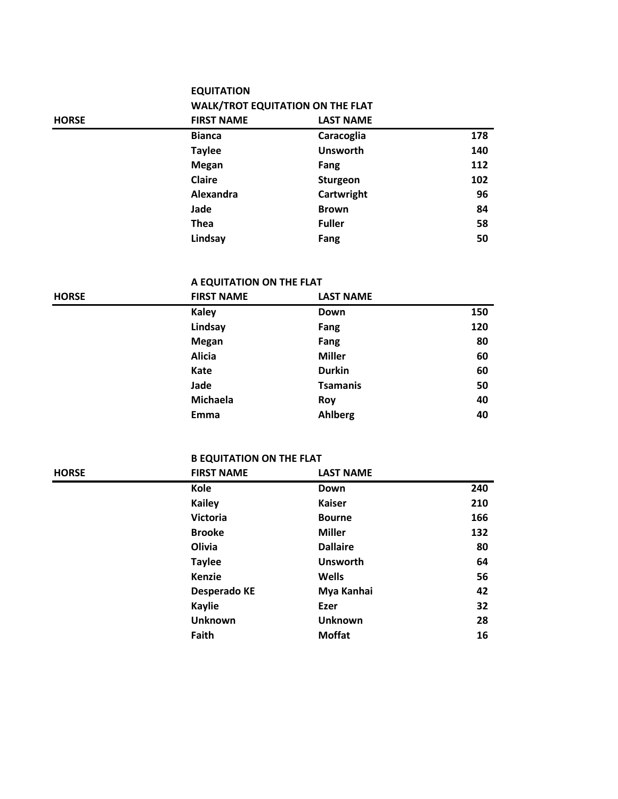## **EQUITATION**

| <b>WALK/TROT EQUITATION ON THE FLAT</b> |                     |
|-----------------------------------------|---------------------|
| FIDET NIA BAF                           | <b>I ACT NIANAE</b> |

| <b>HORSE</b> | <b>FIRST NAME</b> | <b>LAST NAME</b> |     |
|--------------|-------------------|------------------|-----|
|              | <b>Bianca</b>     | Caracoglia       | 178 |
|              | <b>Taylee</b>     | <b>Unsworth</b>  | 140 |
|              | <b>Megan</b>      | Fang             | 112 |
|              | Claire            | Sturgeon         | 102 |
|              | Alexandra         | Cartwright       | 96  |
|              | Jade              | <b>Brown</b>     | 84  |
|              | <b>Thea</b>       | <b>Fuller</b>    | 58  |
|              | Lindsay           | Fang             | 50  |

## **A EQUITATION ON THE FLAT**

| <b>HORSE</b> | <b>FIRST NAME</b> | <b>LAST NAME</b> |     |
|--------------|-------------------|------------------|-----|
|              | <b>Kaley</b>      | Down             | 150 |
|              | Lindsay           | Fang             | 120 |
|              | <b>Megan</b>      | Fang             | 80  |
|              | <b>Alicia</b>     | <b>Miller</b>    | 60  |
|              | Kate              | <b>Durkin</b>    | 60  |
|              | Jade              | <b>Tsamanis</b>  | 50  |
|              | Michaela          | Roy              | 40  |
|              | Emma              | Ahlberg          | 40  |

# **B EQUITATION ON THE FLAT**<br>FIRST NAME

| <b>HORSE</b> | <b>FIRST NAME</b>   | <b>LAST NAME</b> |     |
|--------------|---------------------|------------------|-----|
|              | Kole                | Down             | 240 |
|              | <b>Kailey</b>       | <b>Kaiser</b>    | 210 |
|              | <b>Victoria</b>     | <b>Bourne</b>    | 166 |
|              | <b>Brooke</b>       | <b>Miller</b>    | 132 |
|              | Olivia              | <b>Dallaire</b>  | 80  |
|              | <b>Taylee</b>       | <b>Unsworth</b>  | 64  |
|              | Kenzie              | <b>Wells</b>     | 56  |
|              | <b>Desperado KE</b> | Mya Kanhai       | 42  |
|              | <b>Kaylie</b>       | Ezer             | 32  |
|              | <b>Unknown</b>      | <b>Unknown</b>   | 28  |
|              | Faith               | <b>Moffat</b>    | 16  |
|              |                     |                  |     |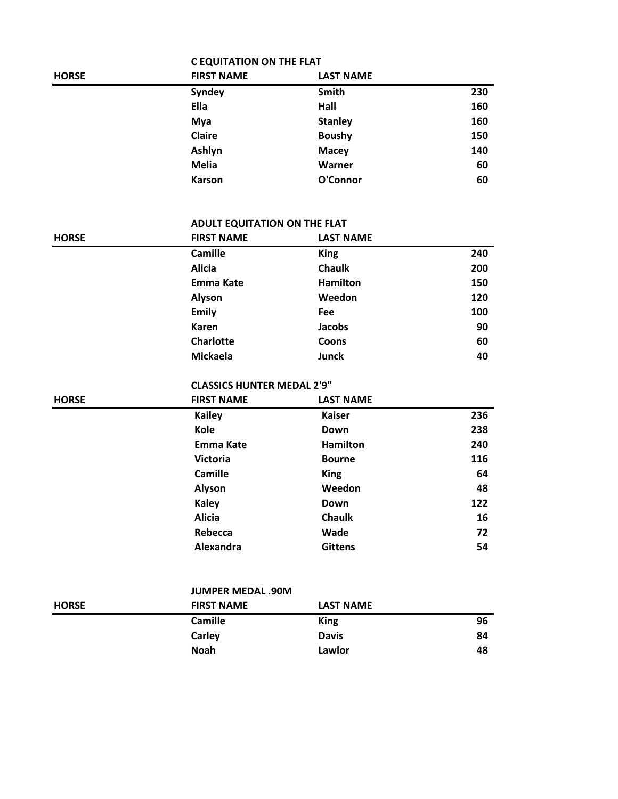|              | <b>C EQUITATION ON THE FLAT</b> |                  |     |
|--------------|---------------------------------|------------------|-----|
| <b>HORSE</b> | <b>FIRST NAME</b>               | <b>LAST NAME</b> |     |
|              | Syndey                          | Smith            | 230 |
|              | Ella                            | Hall             | 160 |
|              | Mya                             | <b>Stanley</b>   | 160 |
|              | Claire                          | <b>Boushy</b>    | 150 |
|              | Ashlyn                          | <b>Macey</b>     | 140 |
|              | <b>Melia</b>                    | Warner           | 60  |
|              | <b>Karson</b>                   | O'Connor         | 60  |

### **ADULT EQUITATION ON THE FLAT**

| <b>HORSE</b> | <b>FIRST NAME</b> | <b>LAST NAME</b> |     |
|--------------|-------------------|------------------|-----|
|              | <b>Camille</b>    | <b>King</b>      | 240 |
|              | <b>Alicia</b>     | <b>Chaulk</b>    | 200 |
|              | Emma Kate         | <b>Hamilton</b>  | 150 |
|              | Alyson            | Weedon           | 120 |
|              | <b>Emily</b>      | Fee              | 100 |
|              | <b>Karen</b>      | <b>Jacobs</b>    | 90  |
|              | <b>Charlotte</b>  | Coons            | 60  |
|              | <b>Mickaela</b>   | Junck            | 40  |

## **CLASSICS HUNTER MEDAL 2'9"**

| <b>HORSE</b> | <b>FIRST NAME</b> | <b>LAST NAME</b> |     |
|--------------|-------------------|------------------|-----|
|              | <b>Kailey</b>     | <b>Kaiser</b>    | 236 |
|              | Kole              | Down             | 238 |
|              | <b>Emma Kate</b>  | <b>Hamilton</b>  | 240 |
|              | <b>Victoria</b>   | <b>Bourne</b>    | 116 |
|              | <b>Camille</b>    | <b>King</b>      | 64  |
|              | Alyson            | Weedon           | 48  |
|              | <b>Kaley</b>      | Down             | 122 |
|              | <b>Alicia</b>     | <b>Chaulk</b>    | 16  |
|              | Rebecca           | Wade             | 72  |
|              | Alexandra         | <b>Gittens</b>   | 54  |

|              | <b>JUMPER MEDAL .90M</b> |                  |    |
|--------------|--------------------------|------------------|----|
| <b>HORSE</b> | <b>FIRST NAME</b>        | <b>LAST NAME</b> |    |
|              | <b>Camille</b>           | <b>King</b>      | 96 |
|              | Carley                   | <b>Davis</b>     | 84 |
|              | <b>Noah</b>              | Lawlor           | 48 |